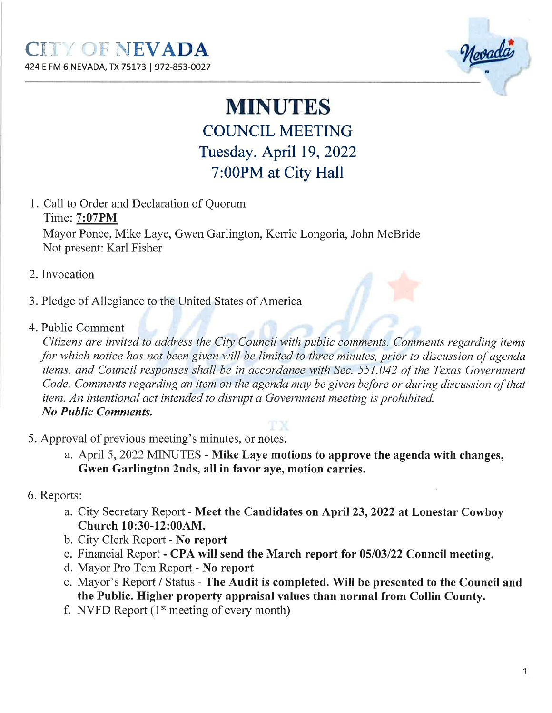

## **MINUTES** COLINCIL MEETING Tuesday, April 19,2022

# 7:00PM at City Hall

1. Call to Order and Declaration of Quorum Time: 7:07PM Mayor Ponce, Mike Laye, Gwen Garlington, Kemie Longoria, John McBride

Not present: Karl Fisher

- 2. Invocation
- 3. Pledge of Allegiance to the United States of America
- 4. Public Comment

Citizens are invited to address the City Council with publíc comments. Comments regardíng items for which notice has not been given wíll be limited to three mínutes, prior to discussion of agenda ítems, and Councíl responses shall be in accordance with Sec. 551.042 of the Texas Government Code. Comments regarding an item on the agenda may be given before or during discussíon of that item. An intentional act intended to disrupt a Government meeting ís prohibited. No Public Comments.

- 5. Approval of previous meeting's minutes, or notes.
	- a. April 5,2022 MINUTES Mike Laye motions to approve the agenda with changes, Gwen Garlington 2nds, all in favor aye, motion carries.
- 6. Reports:
	- a. City Secretary Report Meet the Candidates on April 23, 2022 at Lonestar Cowboy Church 10:30-12:004M.
	- b. City Clerk Report No report
	- c. Financial Report CPA will send the March report for 05/03/22 Council meeting.
	- d. Mayor Pro Tem Report No report
	- e. Mayor's Report / Status The Audit is completed. Will be presented to the Council and the Public. Higher property appraisal values than normal from Collin County.
	- f. NVFD Report  $(1<sup>st</sup> meeting of every month)$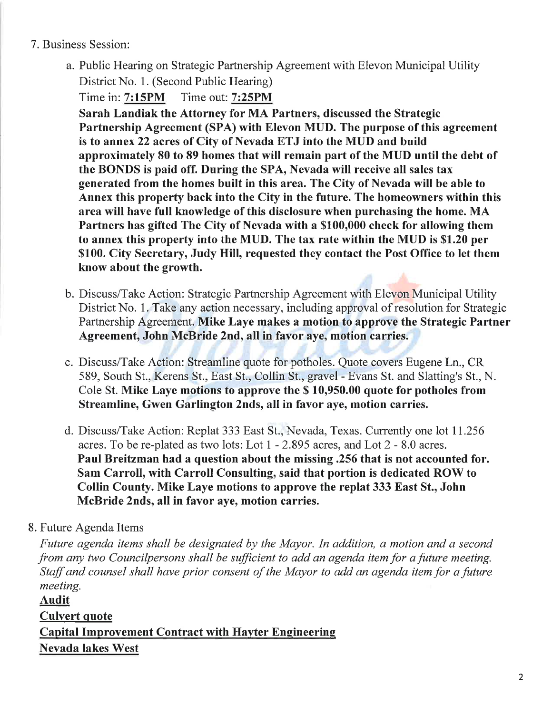#### 7. Business Session:

a. Public Hearing on Strategic Partnership Agreement with Elevon Municipal Utility

District No. 1. (Second Public Hearing)

Time in: 7:15PM Time out: 7:25PM

Sarah Landiak the Attorney for MA Partners, discussed the Strategic Partnership Agreement (SPA) with Elevon MUD. The purpose of this agreement is to annex 22 acres of City of Nevada ETJ into the MUD and build approximately 80 to 89 homes that will remain part of the MIJD until the debt of the BONDS is paid off. During the SPA, Nevada will receive all sales tax generated from the homes built in this area. The City of Nevada will be able to Annex this property back into the City in the future. The homeowners within this area will have full knowledge of this disclosure when purchasing the home. MA Partners has gifted The City of Nevada with a \$100,000 check for allowing them to annex this property into the MUD. The tax rate within the MUD is \$1.20 per \$100. City Secretary, Judy Hill, requested they contact the Post Office to let them know about the growth.

- b. Discuss/Take Action: Strategic Partnership Agreement with Elevon Municipal Utility District No. l. Take any action necessary, including approval of resolution for Strategic Partnership Agreement. Mike Laye makes a motion to approve the Strategic Partner Agreement, John McBride 2nd, all in favor aye, motion carries.
- c. Discuss/Take Action: Streamline quote for potholes. Quote covers Eugene Ln., CR 589, South St., Kerens St., East St., Collin St., gravel - Evans St. and Slatting's St., N. Cole St. Mike Laye motions to approve the S 10,950.00 quote for potholes from Streamline, Gwen Garlington 2nds, all in favor aye, motion carries.
- d. Discuss/Take Action: Replat 333 East St., Nevada, Texas. Currently one lot 11.256 acres. To be re-plated as fwo lots: Lot I - 2.895 acres, and Lot 2 - 8.0 acres. Paul Breitzman had a question about the missing.256 that is not accounted for. Sam Carroll, with Carroll Consulting, said that portion is dedicated ROW to Collin County. Mike Laye motions to approve the replat 333 East St., John McBride 2nds, all in favor aye, motion carries.

### 8. Future Agenda Items

Future agenda items shall be designated by the Mayor. In addition, a motion and a second from any two Councilpersons shall be sufficient to add an agenda item for a future meeting. Staff and counsel shall have prìor consent of the Mayor to add an agenda item for a future meeting.

Audit Culvert quote **Capital Improvement Contract with Hayter Engineering** Nevada lakes West